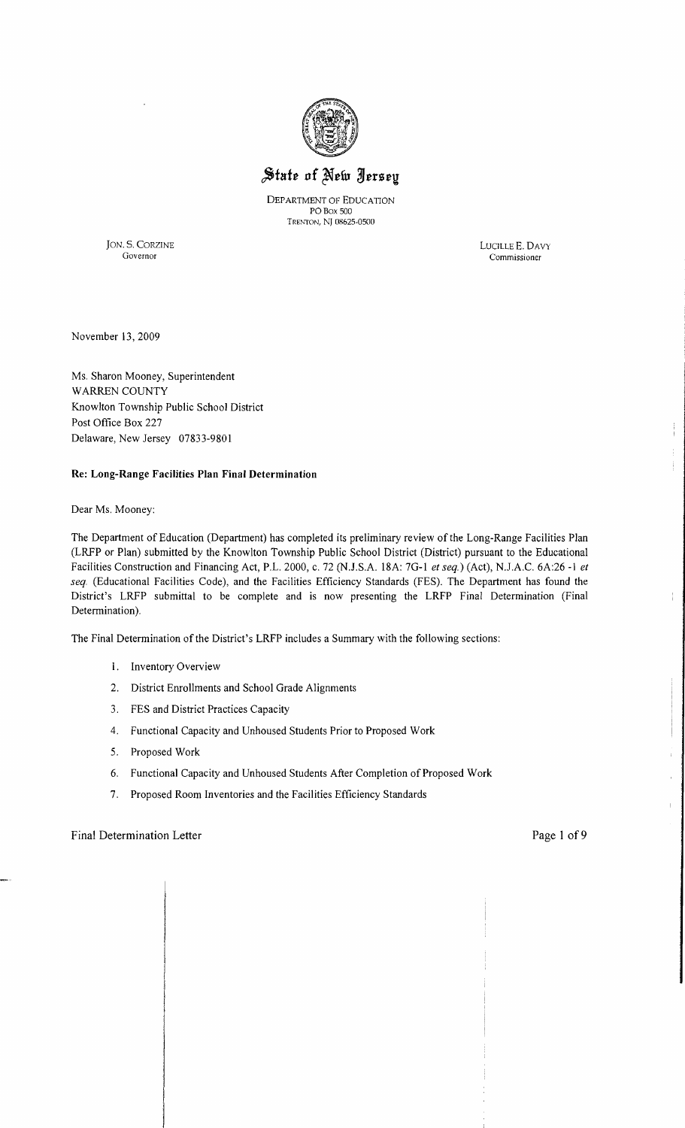

# State of New Jersey

DEPARTMENT OF EDUCATION POBox 500 TRENTON, Nj 08625-0500

JON. S. CORZINE LUCILLE E. DAVY Governor Commissioner

Commissioner

November 13,2009

Ms. Sharon Mooney, Superintendent WARREN COUNTY Knowlton Township Public School District Post Office Box 227 Delaware, New Jersey 07833-9801

## **Re: Long-Range Facilities Plan Final Determination**

Dear Ms. Mooney:

The Department of Education (Department) has completed its preliminary review of the Long-Range Facilities Plan (LRFP or Plan) submitted by the Knowlton Township Public School District (District) pursuant to the Educational Facilities Construction and Financing Act, P.L. 2000, c. 72 (NJ.S.A. 18A: 70-1 *et seq.)* (Act), NJ.A.C. 6A:26 -1 *et seq.* (Educational Facilities Code), and the Facilities Efficiency Standards (FES). The Department has found the District's LRFP submittal to be complete and is now presenting the LRFP Final Determination (Final Determination).

The Final Determination of the District's LRFP includes a Summary with the following sections:

- 1. Inventory Overview
- 2. District Enrollments and School Orade Alignments
- 3. FES and District Practices Capacity
- 4. Functional Capacity and Unhoused Students Prior to Proposed Work
- 5. Proposed Work
- 6. Functional Capacity and Unhoused Students After Completion of Proposed Work
- 7. Proposed Room Inventories and the Facilities Efficiency Standards

## Final Determination Letter Page 1 of 9

 $\overline{1}$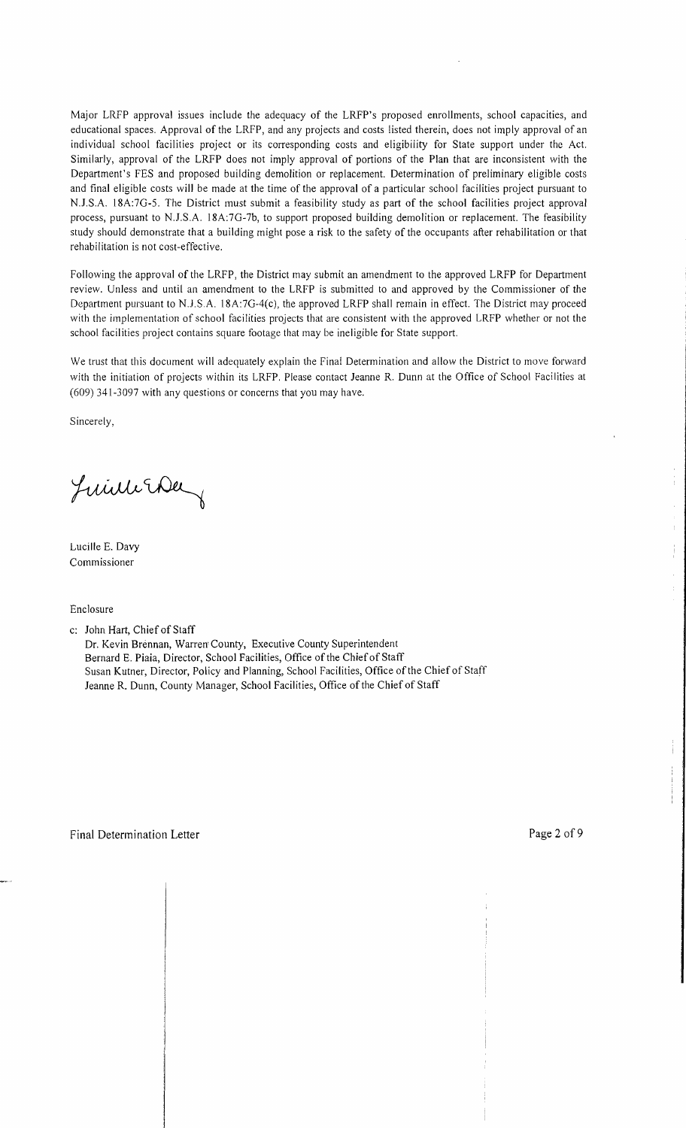Major LRFP approval issues include the adequacy of the LRFP's proposed enrollments, school capacities, and educational spaces. Approval of the LRFP, and any projects and costs listed therein, does not imply approval of an individual school facilities project or its corresponding costs and eligibility for State support under the Act. Similarly, approval of the LRFP does not imply approval of portions of the Plan that are inconsistent with the Department's FES and proposed building demolition or replacement. Determination of preliminary eligible costs and final eligible costs will be made at the time of the approval of a particular school facilities project pursuant to NJ.SA 18A:7G-5. The District must submit a feasibility study as part of the school facilities project approval process, pursuant to NJ.S.A. 18A:7G-7b, to support proposed building demolition or replacement. The feasibility study should demonstrate that a building might pose a risk to the safety of the occupants after rehabilitation or that rehabilitation is not cost-effective.

Following the approval of the LRFP, the District may submit an amendment to the approved LRFP for Department review. Unless and until an amendment to the LRFP is submitted to and approved by the Commissioner of the Department pursuant to N.J.S.A. 18A:7G-4(c), the approved LRFP shall remain in effect. The District may proceed with the implementation of school facilities projects that are consistent with the approved LRFP whether or not the school facilities project contains square footage that may be ineligible for State support.

We trust that this document will adequately explain the Final Determination and allow the District to move forward with the initiation of projects within its LRFP. Please contact Jeanne R. Dunn at the Office of School Facilities at (609) 341-3097 with any questions or concerns that you may have.

Sincerely,

Juin The

Lucille E. Davy Commissioner

Enclosure

c: John Hart, Chief of Staff

Dr. Kevin Brennan, Warren' County, Executive County Superintendent Bernard E. Piaia, Director, School Facilities, Office of the Chief of Staff Susan Kutner, Director, Policy and Planning, School Facilities, Office of the Chief of Staff Jeanne R. Dunn, County Manager, School Facilities, Office of the Chief of Staff

 $\pm$ 

 $\frac{1}{2}$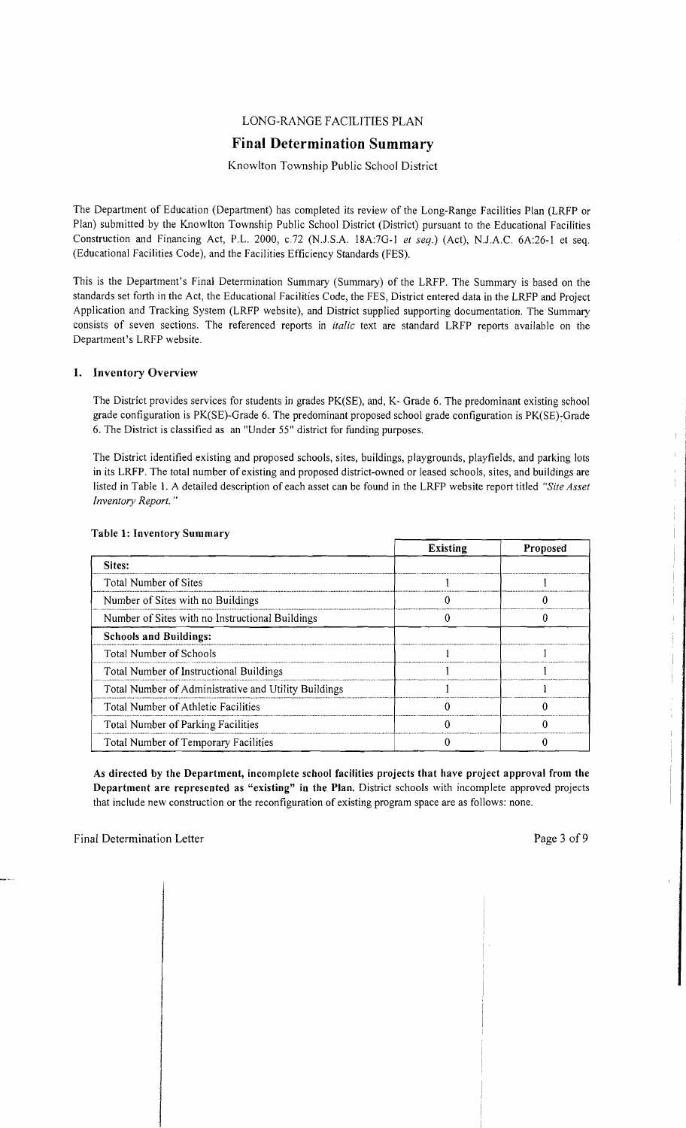## LONG-RANGE FACILITIES PLAN

## **Final Determination Summary**

Knowlton Township Public School District

The Department of Education (Department) has completed its review of the Long-Range Facilities Plan (LRFP or Plan) submitted by the Knowlton Township Public School District (District) pursuant to the Educational Facilities Construction and Financing Act, P.L. 2000, *c.72* (N.J.S.A. 18A:7G-1 *et seq.*) (Act), N.J.A.C. 6A:26-1 et seq. (Educational Facilities Code), and the Facilities Efficiency Standards (FES).

This is the Department's Final Determination Summary (Summary) of the LRFP. The Summary is based on the standards set forth in the Act, the Educational Facilities Code, the FES, District entered data in the LRFP and Project Application and Tracking System (LRFP website), and District supplied supporting documentation. The Summary consists of seven sections. The referenced reports in *italic* text are standard LRFP reports available on the Department's LRFP website.

## 1. Inventory Overview

The District provides services for students in grades PK(SE), and, K- Grade 6. The predominant existing school grade configuration is PK(SE)-Grade 6. The predominant proposed school grade configuration is PK(SE)~Grade 6. The District is classified as an "Under 55" district for funding purposes.

The District identified existing and proposed schools, sites, buildings, playgrounds, playfields, and parking lots in its LRFP. The total number of existing and proposed district-owned or leased schools, sites, and buildings are listed in Table I. A detailed description of each asset can be found in the LRFP website report titled *"Site Asset Inventory Report. "* 

|                                                      | <b>Existing</b> | Proposed |
|------------------------------------------------------|-----------------|----------|
| Sites:                                               |                 |          |
| Total Number of Sites                                |                 |          |
| Number of Sites with no Buildings                    |                 |          |
| Number of Sites with no Instructional Buildings      |                 |          |
| <b>Schools and Buildings:</b>                        |                 |          |
| <b>Total Number of Schools</b>                       |                 |          |
| Total Number of Instructional Buildings              |                 |          |
| Total Number of Administrative and Utility Buildings |                 |          |
| Total Number of Athletic Facilities                  |                 |          |
| <b>Total Number of Parking Facilities</b>            |                 |          |
| Total Number of Temporary Facilities                 |                 |          |

## Table 1: Inventory Summary

As directed by the Department, incomplete school facilities projects that have project approval from the Department are represented as "existing" in the Plan. District schools with incomplete approved projects that include new construction or the reconfiguration of existing program space are as follows: none.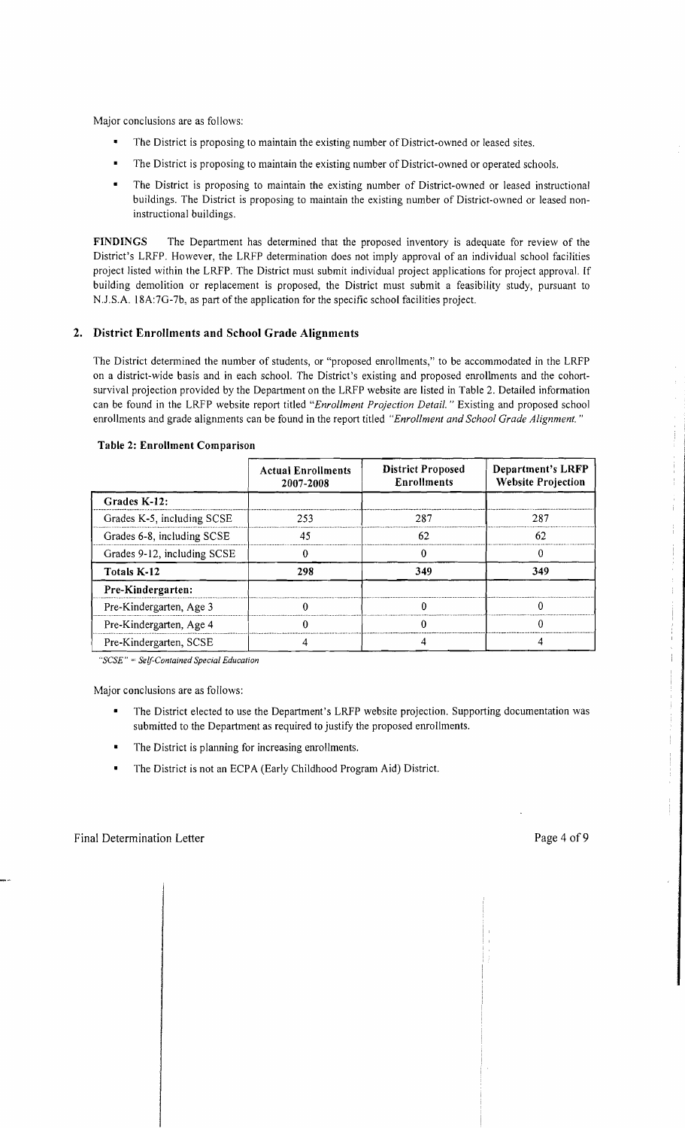Major conclusions are as follows:

- The District is proposing to maintain the existing number of District-owned or leased sites.
- The District is proposing to maintain the existing number of District-owned or operated schools.
- The District is proposing to maintain the existing number of District-owned or leased instructional buildings. The District is proposing to maintain the existing number of District-owned or leased noninstructional buildings.

FINDINGS The Department has determined that the proposed inventory is adequate for review of the District's LRFP. However, the LRFP determination does not imply approval of an individual school facilities project listed within the LRFP. The District must submit individual project applications for project approval. [f building demolition or replacement is proposed, the District must submit a feasibility study, pursuant to N.J.S.A. 18A:7G-7b, as part of the application for the specific school facilities project.

## 2. District Enrollments and School Grade Alignments

The District determined the number of students, or "proposed enrollments," to be accommodated in the LRFP on a district-wide basis and in each school. The District's existing and proposed enrollments and the cohortsurvival projection provided by the Department on the LRFP website are listed in Table 2. Detailed information can be found in the LRFP website report titled *"Enrollment Projection Detail.* " Existing and proposed school enrollments and grade alignments can be found in the report titled *"Enrollment and School Grade Alignment. "* 

|                             | <b>Actual Enrollments</b><br>2007-2008 | <b>District Proposed</b><br><b>Enrollments</b> | Department's LRFP<br><b>Website Projection</b> |
|-----------------------------|----------------------------------------|------------------------------------------------|------------------------------------------------|
| Grades K-12:                |                                        |                                                |                                                |
| Grades K-5, including SCSE  | 253                                    | 287                                            | 287                                            |
| Grades 6-8, including SCSE  | 45                                     | 62                                             | 62                                             |
| Grades 9-12, including SCSE |                                        |                                                |                                                |
| Totals K-12                 | 298                                    | 349                                            | 349                                            |
| Pre-Kindergarten:           |                                        |                                                |                                                |
| Pre-Kindergarten, Age 3     |                                        |                                                | ∩                                              |
| Pre-Kindergarten, Age 4     |                                        |                                                | 0                                              |
| Pre-Kindergarten, SCSE      |                                        |                                                |                                                |

#### Table 2: Enrollment Comparison

*"SCSE"* = *Self-Contained Special Education* 

Major conclusions are as follows:

- The District elected to use the Department's LRFP website projection. Supporting documentation was submitted to the Department as required to justify the proposed enrollments.
- The District is planning for increasing enrollments.
- The District is not an ECPA (Early Childhood Program Aid) District.  $\blacksquare$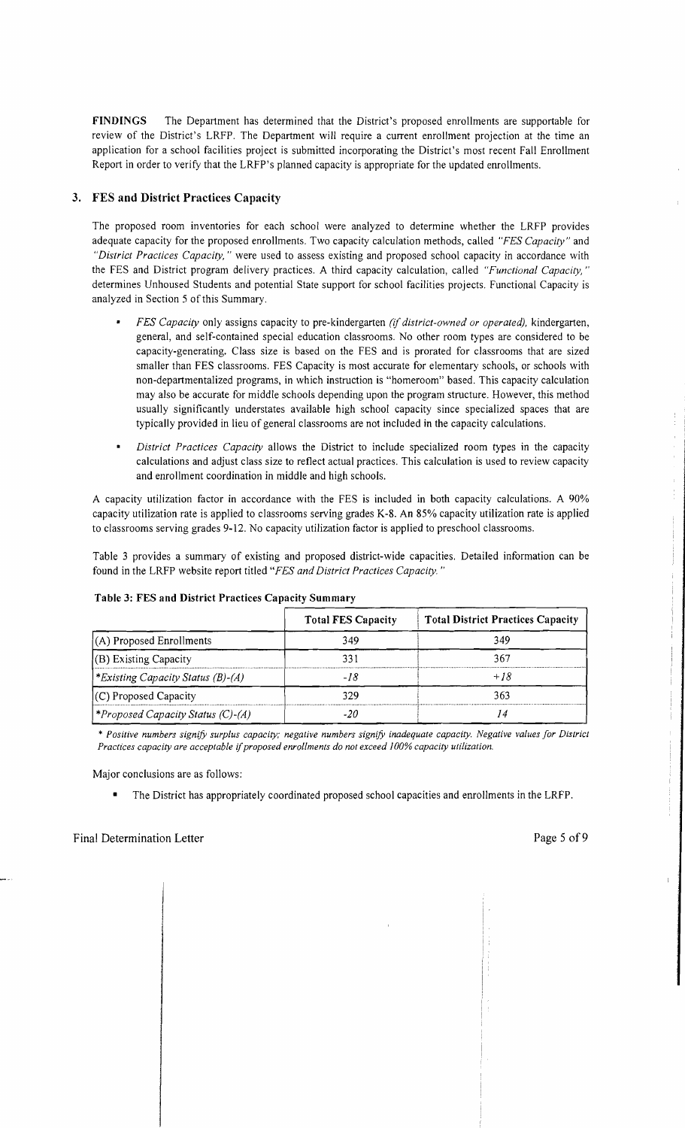FINDINGS The Department has determined that the District's proposed enrollments are supportable for review of the District's LRFP. The Department will require a current enrollment projection at the time an application for a school facilities project is submitted incorporating the District's most recent Fall Enrollment Report in order to verify that the LRFP's planned capacity is appropriate for the updated enrollments.

## 3. FES and District Practices Capacity

The proposed room inventories for each school were analyzed to determine whether the LRFP provides adequate capacity for the proposed enrollments. Two capacity calculation methods, called *"FES Capacity"* and *"District Practices Capacity,* " were used to assess existing and proposed school capacity in accordance with the FES and District program delivery practices. A third capacity calculation, called *"Functional Capacity, "*  determines Unhoused Students and potential State support for school facilities projects. Functional Capacity is analyzed in Section 5 of this Summary.

- *FES Capacity* only assigns capacity to pre-kindergarten *(if district-owned or operated),* kindergarten, general, and self-contained special education classrooms. No other room types are considered to be capacity-generating. Class size is based on the FES and is prorated for classrooms that are sized smaller than FES classrooms. FES Capacity is most accurate for elementary schools, or schools with non-departmentalized programs, in which instruction is "homeroom" based. This capacity calculation may also be accurate for middle schools depending upon the program structure. However, this method usually significantly understates available high school capacity since specialized spaces that are typically provided in lieu of general classrooms are not included in the capacity calculations.
- *District Practices Capacity* allows the District to include specialized room types in the capacity calculations and adjust class size to reflect actual practices. This calculation is used to review capacity and enrollment coordination in middle and high schools.

A capacity utilization factor in accordance with the FES is included in both capacity calculations. A 90% capacity utilization rate is applied to classrooms serving grades K-8. An 85% capacity utilization rate is applied to classrooms serving grades 9-12. No capacity utilization factor is applied to preschool classrooms.

Table 3 provides a summary of existing and proposed district-wide capacities. Detailed information can be found in the LRFP website report titled *"FES and District Practices Capacity. "* 

|                                         | <b>Total FES Capacity</b> | <b>Total District Practices Capacity</b> |
|-----------------------------------------|---------------------------|------------------------------------------|
| $(A)$ Proposed Enrollments              | 349                       | 349                                      |
| (B) Existing Capacity                   | 331                       | 367                                      |
| *Existing Capacity Status (B)-(A)       |                           | $+18$                                    |
| $(C)$ Proposed Capacity                 | 329                       | 363                                      |
| <i>Froposed Capacity Status (C)-(A)</i> | -20                       |                                          |

#### Table 3: FES and District Practices Capacity Summary

\* *Positive numbers signify surplus capacity; negative numbers signify inadequate capacity. Negative values for District*  Practices capacity are acceptable if proposed enrollments do not exceed 100% capacity utilization.

Major conclusions are as follows:

• The District has appropriately coordinated proposed school capacities and enrollments in the LRFP.

 $\bar{t}$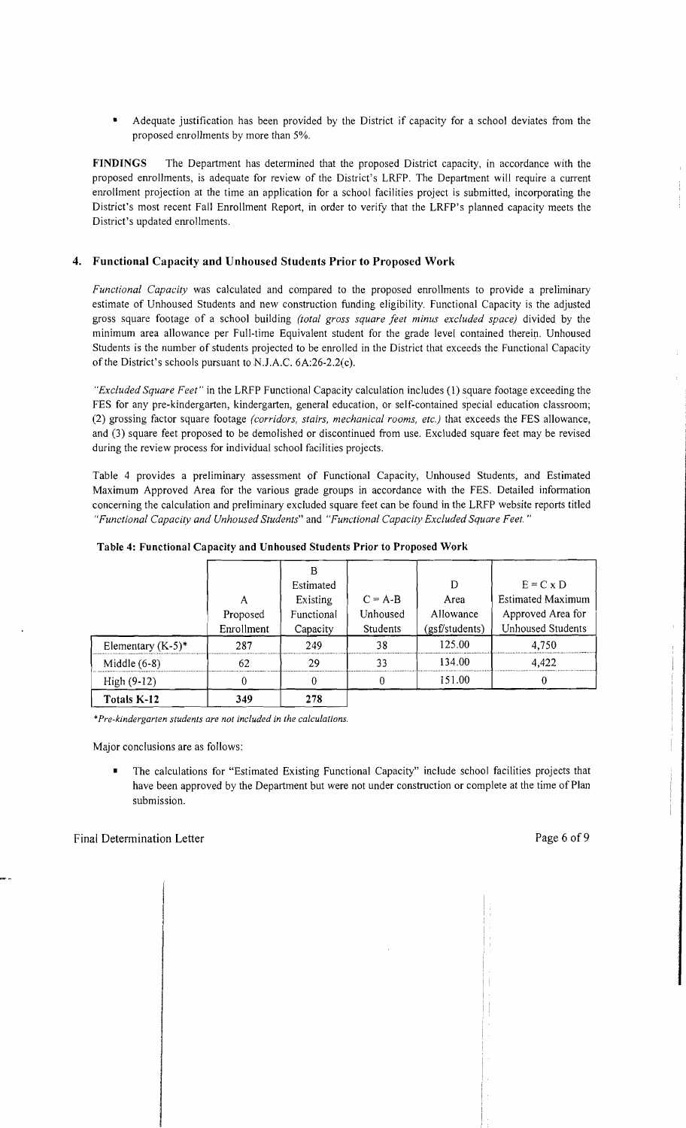Adequate justification has been provided by the District if capacity for a school deviates from the proposed enrollments by more than 5%.

FINDINGS The Department has determined that the proposed District capacity, in accordance with the proposed enrollments, is adequate for review of the District's LRFP. The Department will require a current enrollment projection at the time an application for a school facilities project is submitted, incorporating the District's most recent Fall Enrollment Report, in order to verify that the LRFP's planned capacity meets the District's updated enrollments.

## 4. Functional Capacity and Unhoused Students Prior to Proposed Work

*Functional Capacity* was calculated and compared to the proposed enrollments to provide a preliminary estimate of Unhoused Students and new construction funding eligibility. Functional Capacity is the adjusted gross square footage of a school building *(total gross square feet minus excluded space)* divided by the minimum area allowance per Full-time Equivalent student for the grade level contained therein. Unhoused Students is the number of students projected to be enrolled in the District that exceeds the Functional Capacity of the District's schools pursuant to NJ.A.C. 6A:26-2.2(c).

*"Excluded Square Feet"* in the LRFP Functional Capacity calculation includes (1) square footage exceeding the FES for any pre-kindergarten, kindergarten, general education, or self-contained special education classroom; (2) grossing factor square footage *(corridors, stairs, mechanical rooms, etc.)* that exceeds the FES allowance, and (3) square feet proposed to be demolished or discontinued from use. Excluded square feet may be revised during the review process for individual school facilities projects.

Table 4 provides a preliminary assessment of Functional Capacity, Unhoused Students, and Estimated Maximum Approved Area for the various grade groups in accordance with the FES. Detailed information concerning the calculation and preliminary excluded square feet can be found in the LRFP website reports titled *"Functional Capacity and Unhoused Students"* and *"Functional Capacity Excluded Square Feet. "* 

| Elementary $(K-5)^*$ | А<br>Proposed<br>Enrollment<br>287 | Estimated<br>Existing<br>Functional<br>Capacity<br>249 | $C = A-B$<br>Unhoused<br>Students<br>38 | D<br>Area<br>Allowance<br>(gsf/students)<br>125.00 | $E = C \times D$<br><b>Estimated Maximum</b><br>Approved Area for<br>Unhoused Students<br>4.750 |
|----------------------|------------------------------------|--------------------------------------------------------|-----------------------------------------|----------------------------------------------------|-------------------------------------------------------------------------------------------------|
| Middle $(6-8)$       | 62                                 | 29                                                     | 33                                      | 134.00                                             | 4.422                                                                                           |
| $High (9-12)$        | 0                                  |                                                        |                                         | 151.00                                             |                                                                                                 |
| Totals K-12          | 349                                | 278                                                    |                                         |                                                    |                                                                                                 |

\**Pre-kindergarten students are not included* in *the calculations.* 

Major conclusions are as follows:

The calculations for "Estimated Existing Functional Capacity" include school facilities projects that have been approved by the Department but were not under construction or complete at the time of Plan submission.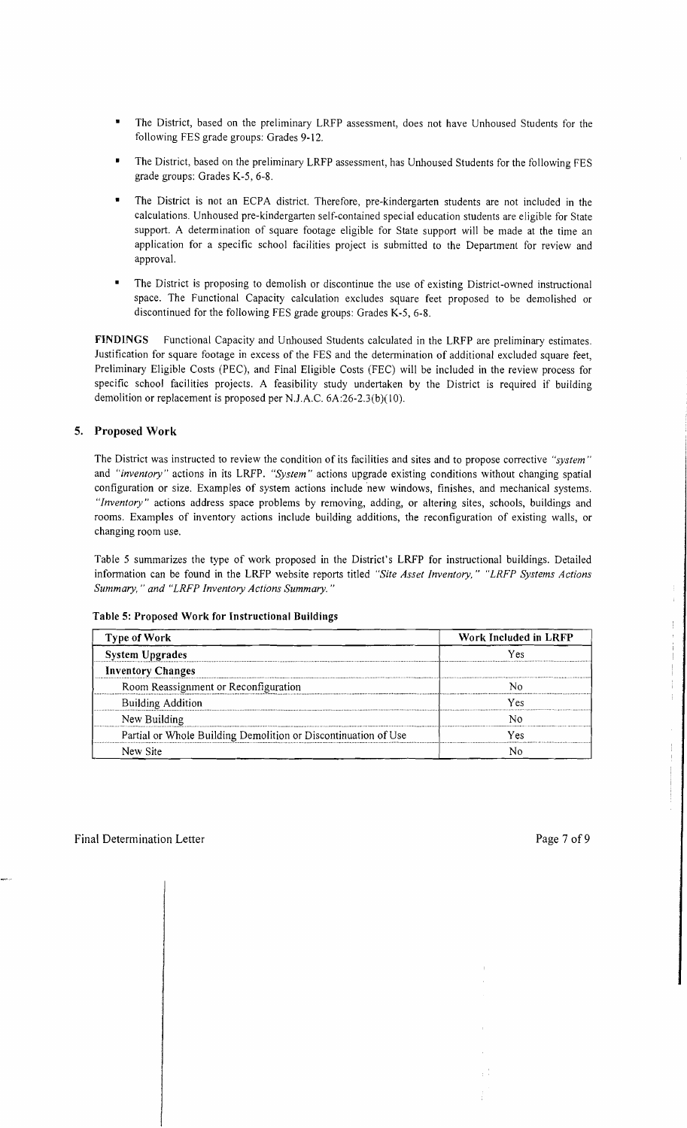- The District, based on the preliminary LRFP assessment, does not have Unhoused Students for the following FES grade groups: Grades 9-12.
- The District, based on the preliminary LRFP assessment, has Unhoused Students for the following FES grade groups: Grades K-5, 6-8.
- The District is not an ECPA district. Therefore, pre-kindergarten students are not included in the calculations. Unhoused pre-kindergarten self-contained special education students are eligible for State support. A determination of square footage eligible for State support will be made at the time an application for a specific school facilities project is submitted to the Department for review and approval.
- The District is proposing to demolish or discontinue the use of existing District-owned instructional space. The Functional Capacity calculation excludes square feet proposed to be demolished or discontinued for the following FES grade groups: Grades K-5, 6-8.

**FINDINGS** Functional Capacity and Unhoused Students calculated in the LRFP are preliminary estimates. Justification for square footage in excess of the FES and the determination of additional excluded square feet, Preliminary Eligible Costs (PEC), and Final Eligible Costs (FEC) will be included in the review process for specific school facilities projects. A feasibility study undertaken by the District is required if building demolition or replacement is proposed per NJAC. 6A:26-2.3(b)(10).

## **5. Proposed Work**

The District was instructed to review the condition of its facilities and sites and to propose corrective *"system"*  and *"inventory"* actions in its LRFP. *"System"* actions upgrade existing conditions without changing spatial configuration or size. Examples of system actions include 'new windows, finishes, and mechanical systems. *"Inventory"* actions address space problems by removing, adding, or altering sites, schools, buildings and rooms. Examples of inventory actions include building additions, the reconfiguration of existing walls, or changing room use.

Table 5 summarizes the type of work proposed in the District's LRFP for instructional buildings. Detailed information can be found in the LRFP website reports titled *"Site Asset Inventory," "LRFP Systems Actions Summary,* " *and "LRFP Inventory Actions Summary. "* 

| <b>Type of Work</b>                                            | Work Included in LRFP |  |  |
|----------------------------------------------------------------|-----------------------|--|--|
| <b>System Upgrades</b>                                         | Y es                  |  |  |
| <b>Inventory Changes</b>                                       |                       |  |  |
| Room Reassignment or Reconfiguration                           |                       |  |  |
| <b>Building Addition</b>                                       | Y es                  |  |  |
| New Building                                                   |                       |  |  |
| Partial or Whole Building Demolition or Discontinuation of Use | Yes                   |  |  |
| New Site                                                       |                       |  |  |

#### Table 5: Proposed **Work for Instructional Buildings**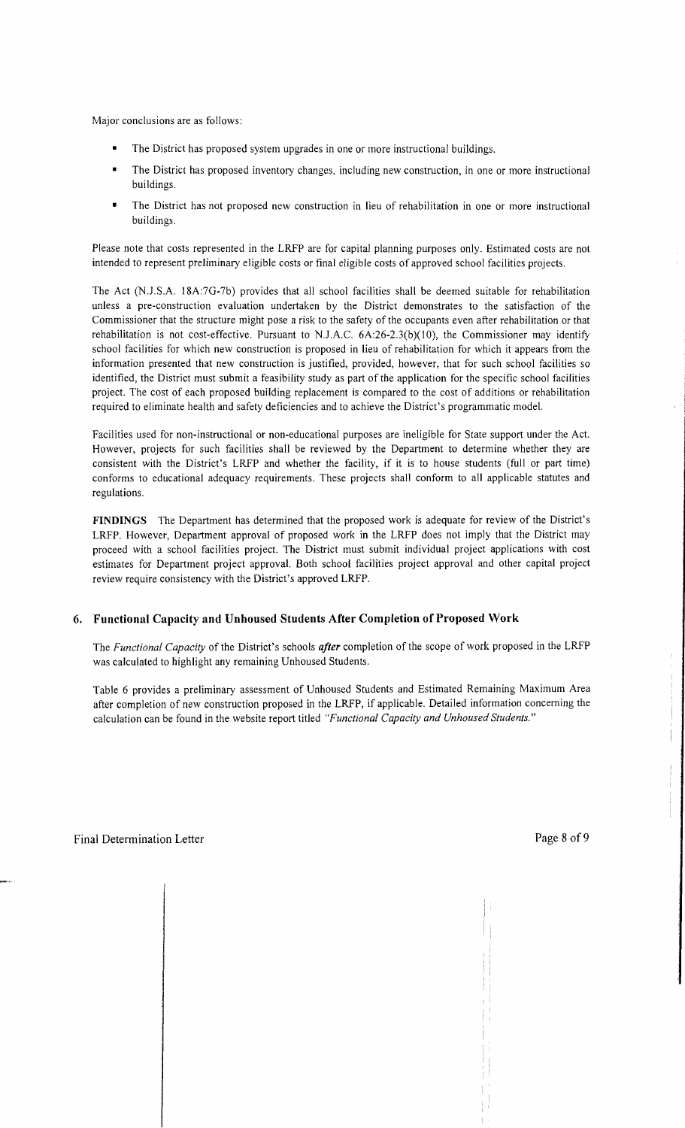Major conclusions are as follows:

- The District has proposed system upgrades in one or more instructional buildings.
- The District has proposed inventory changes, including new construction, in one or more instructional buildings.
- The District has not proposed new construction in lieu of rehabilitation in one or more instructional buildings.

Please note that costs represented in the LRFP are for capital planning purposes only. Estimated costs are not intended to represent preliminary eligible costs or final eligible costs of approved school facilities projects.

The Act (N.J .S.A. 18A:7G-7b) provides that all school facilities shall be deemed suitable for rehabilitation unless a pre-construction evaluation undertaken by the District demonstrates to the satisfaction of the Commissioner that the structure might pose a risk to the safety of the occupants even after rehabilitation or that rehabilitation is not cost-effective. Pursuant to N.J.A.C.  $6A:26-2.3(b)(10)$ , the Commissioner may identify school facilities for which new construction is proposed in lieu of rehabilitation for which it appears from the information presented that new construction is justified, provided, however, that for such school facilities so identified, the District must submit a feasibility study as part of the application for the specific school facilities project. The cost of each proposed building replacement is compared to the cost of additions or rehabilitation required to eliminate health and safety deficiencies and to achieve the District's programmatic model.

Facilities used for non-instructional or non-educational purposes are ineligible for State support under the Act. However, projects for such facilities shall be reviewed by the Department to determine whether they are consistent with the District's LRFP and whether the facility, if it is to house students (full or part time) conforms to educational adequacy requirements. These projects shall conform to all applicable statutes and regulations.

**FINDINGS** The Department has determined that the proposed work is adequate for review of the District's LRFP. However, Department approval of proposed work in the LRFP does not imply that the District may proceed with a school facilities project. The District must submit individual project applications with cost estimates for Department project approval. Both school facilities project approval and other capital project review require consistency with the District's approved LRFP.

## **6. Functional Capacity and Unhoused Students After Completion** of Proposed **Work**

The *Functional Capacity* of the District's schools *after* completion of the scope of work proposed in the LRFP was calculated to highlight any remaining Unhoused Students.

Table 6 provides a preliminary assessment of Unhoused Students and Estimated Remaining Maximum Area after completion of new construction proposed in the LRFP, if applicable. Detailed information concerning the calculation can be found in the website report titled *"Functional Capacity and Unhoused Students."*